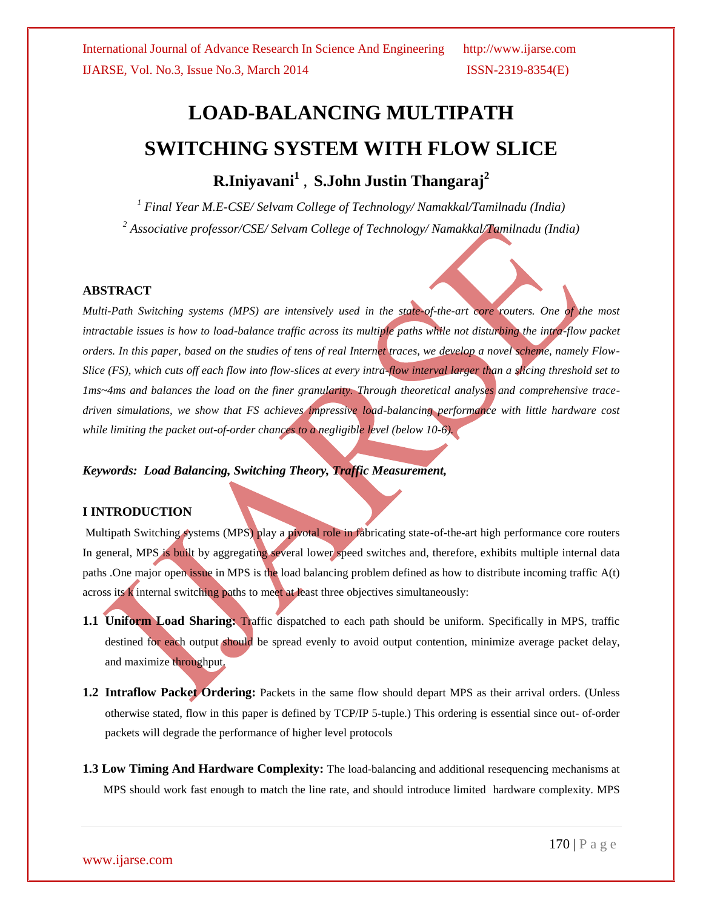# **LOAD-BALANCING MULTIPATH SWITCHING SYSTEM WITH FLOW SLICE**

**R.Iniyavani<sup>1</sup>** , **S.John Justin Thangaraj<sup>2</sup>**

*<sup>1</sup> Final Year M.E-CSE/ Selvam College of Technology/ Namakkal/Tamilnadu (India) <sup>2</sup> Associative professor/CSE/ Selvam College of Technology/ Namakkal/Tamilnadu (India)*

# **ABSTRACT**

*Multi-Path Switching systems (MPS) are intensively used in the state-of-the-art core routers. One of the most intractable issues is how to load-balance traffic across its multiple paths while not disturbing the intra-flow packet orders. In this paper, based on the studies of tens of real Internet traces, we develop a novel scheme, namely Flow-Slice (FS), which cuts off each flow into flow-slices at every intra-flow interval larger than a slicing threshold set to 1ms~4ms and balances the load on the finer granularity. Through theoretical analyses and comprehensive tracedriven simulations, we show that FS achieves impressive load-balancing performance with little hardware cost while limiting the packet out-of-order chances to a negligible level (below 10-6).*

# *Keywords: Load Balancing, Switching Theory, Traffic Measurement,*

# **I INTRODUCTION**

Multipath Switching systems (MPS) play a pivotal role in fabricating state-of-the-art high performance core routers In general, MPS is built by aggregating several lower speed switches and, therefore, exhibits multiple internal data paths .One major open issue in MPS is the load balancing problem defined as how to distribute incoming traffic A(t) across its  $k$  internal switching paths to meet at least three objectives simultaneously:

- **1.1 Uniform Load Sharing:** Traffic dispatched to each path should be uniform. Specifically in MPS, traffic destined for each output should be spread evenly to avoid output contention, minimize average packet delay, and maximize throughput.
- **1.2 Intraflow Packet Ordering:** Packets in the same flow should depart MPS as their arrival orders. (Unless otherwise stated, flow in this paper is defined by TCP/IP 5-tuple.) This ordering is essential since out- of-order packets will degrade the performance of higher level protocols
- **1.3 Low Timing And Hardware Complexity:** The load-balancing and additional resequencing mechanisms at MPS should work fast enough to match the line rate, and should introduce limited hardware complexity. MPS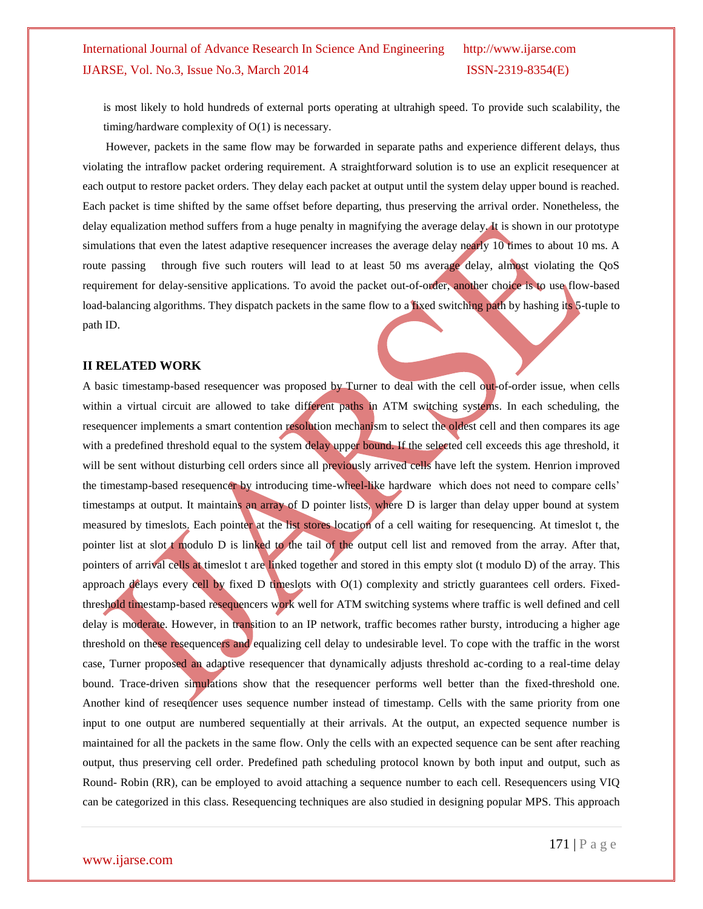# International Journal of Advance Research In Science And Engineering http://www.ijarse.com IJARSE, Vol. No.3, Issue No.3, March 2014 ISSN-2319-8354(E)

is most likely to hold hundreds of external ports operating at ultrahigh speed. To provide such scalability, the timing/hardware complexity of O(1) is necessary.

 However, packets in the same flow may be forwarded in separate paths and experience different delays, thus violating the intraflow packet ordering requirement. A straightforward solution is to use an explicit resequencer at each output to restore packet orders. They delay each packet at output until the system delay upper bound is reached. Each packet is time shifted by the same offset before departing, thus preserving the arrival order. Nonetheless, the delay equalization method suffers from a huge penalty in magnifying the average delay. It is shown in our prototype simulations that even the latest adaptive resequencer increases the average delay nearly 10 times to about 10 ms. A route passing through five such routers will lead to at least 50 ms average delay, almost violating the QoS requirement for delay-sensitive applications. To avoid the packet out-of-order, another choice is to use flow-based load-balancing algorithms. They dispatch packets in the same flow to a fixed switching path by hashing its 5-tuple to path ID.

# **II RELATED WORK**

A basic timestamp-based resequencer was proposed by Turner to deal with the cell out-of-order issue, when cells within a virtual circuit are allowed to take different paths in ATM switching systems. In each scheduling, the resequencer implements a smart contention resolution mechanism to select the oldest cell and then compares its age with a predefined threshold equal to the system delay upper bound. If the selected cell exceeds this age threshold, it will be sent without disturbing cell orders since all previously arrived cells have left the system. Henrion improved the timestamp-based resequencer by introducing time-wheel-like hardware which does not need to compare cells' timestamps at output. It maintains an array of D pointer lists, where D is larger than delay upper bound at system measured by timeslots. Each pointer at the list stores location of a cell waiting for resequencing. At timeslot t, the pointer list at slot  $t$  modulo D is linked to the tail of the output cell list and removed from the array. After that, pointers of arrival cells at timeslot t are linked together and stored in this empty slot (t modulo D) of the array. This approach delays every cell by fixed D timeslots with  $O(1)$  complexity and strictly guarantees cell orders. Fixedthreshold timestamp-based resequencers work well for ATM switching systems where traffic is well defined and cell delay is moderate. However, in transition to an IP network, traffic becomes rather bursty, introducing a higher age threshold on these resequencers and equalizing cell delay to undesirable level. To cope with the traffic in the worst case, Turner proposed an adaptive resequencer that dynamically adjusts threshold ac-cording to a real-time delay bound. Trace-driven simulations show that the resequencer performs well better than the fixed-threshold one. Another kind of resequencer uses sequence number instead of timestamp. Cells with the same priority from one input to one output are numbered sequentially at their arrivals. At the output, an expected sequence number is maintained for all the packets in the same flow. Only the cells with an expected sequence can be sent after reaching output, thus preserving cell order. Predefined path scheduling protocol known by both input and output, such as Round- Robin (RR), can be employed to avoid attaching a sequence number to each cell. Resequencers using VIQ can be categorized in this class. Resequencing techniques are also studied in designing popular MPS. This approach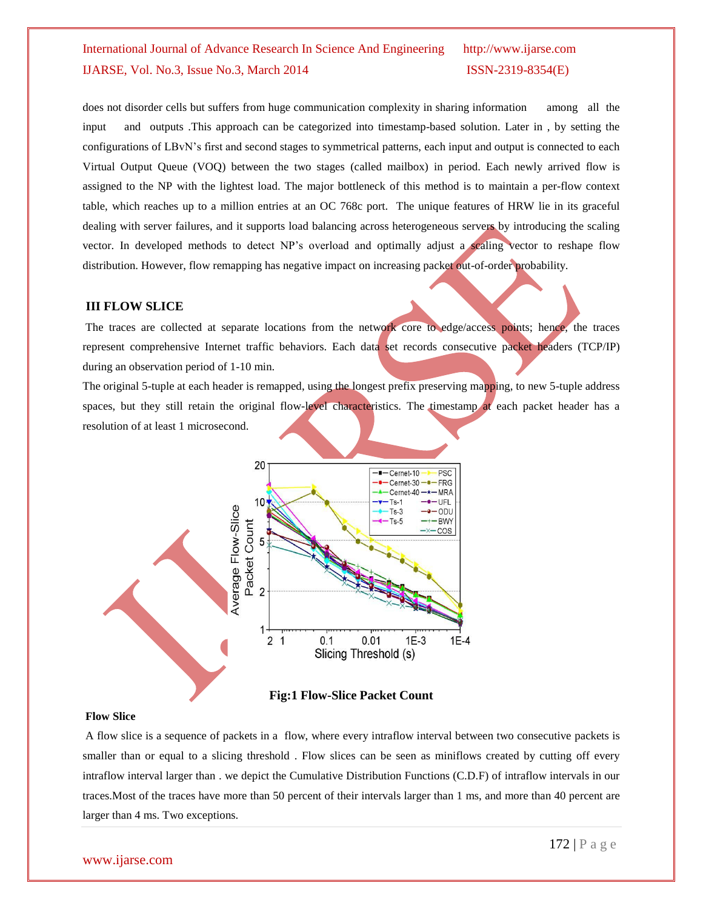# International Journal of Advance Research In Science And Engineering http://www.ijarse.com IJARSE, Vol. No.3, Issue No.3, March 2014 ISSN-2319-8354(E)

does not disorder cells but suffers from huge communication complexity in sharing information among all the input and outputs .This approach can be categorized into timestamp-based solution. Later in , by setting the configurations of LBvN's first and second stages to symmetrical patterns, each input and output is connected to each Virtual Output Queue (VOQ) between the two stages (called mailbox) in period. Each newly arrived flow is assigned to the NP with the lightest load. The major bottleneck of this method is to maintain a per-flow context table, which reaches up to a million entries at an OC 768c port. The unique features of HRW lie in its graceful dealing with server failures, and it supports load balancing across heterogeneous servers by introducing the scaling vector. In developed methods to detect NP's overload and optimally adjust a scaling vector to reshape flow distribution. However, flow remapping has negative impact on increasing packet out-of-order probability.

## **III FLOW SLICE**

The traces are collected at separate locations from the network core to edge/access points; hence, the traces represent comprehensive Internet traffic behaviors. Each data set records consecutive packet headers (TCP/IP) during an observation period of 1-10 min.

The original 5-tuple at each header is remapped, using the longest prefix preserving mapping, to new 5-tuple address spaces, but they still retain the original flow-level characteristics. The timestamp at each packet header has a resolution of at least 1 microsecond.



#### **Flow Slice**

A flow slice is a sequence of packets in a flow, where every intraflow interval between two consecutive packets is smaller than or equal to a slicing threshold . Flow slices can be seen as miniflows created by cutting off every intraflow interval larger than . we depict the Cumulative Distribution Functions (C.D.F) of intraflow intervals in our traces.Most of the traces have more than 50 percent of their intervals larger than 1 ms, and more than 40 percent are larger than 4 ms. Two exceptions.

# www.ijarse.com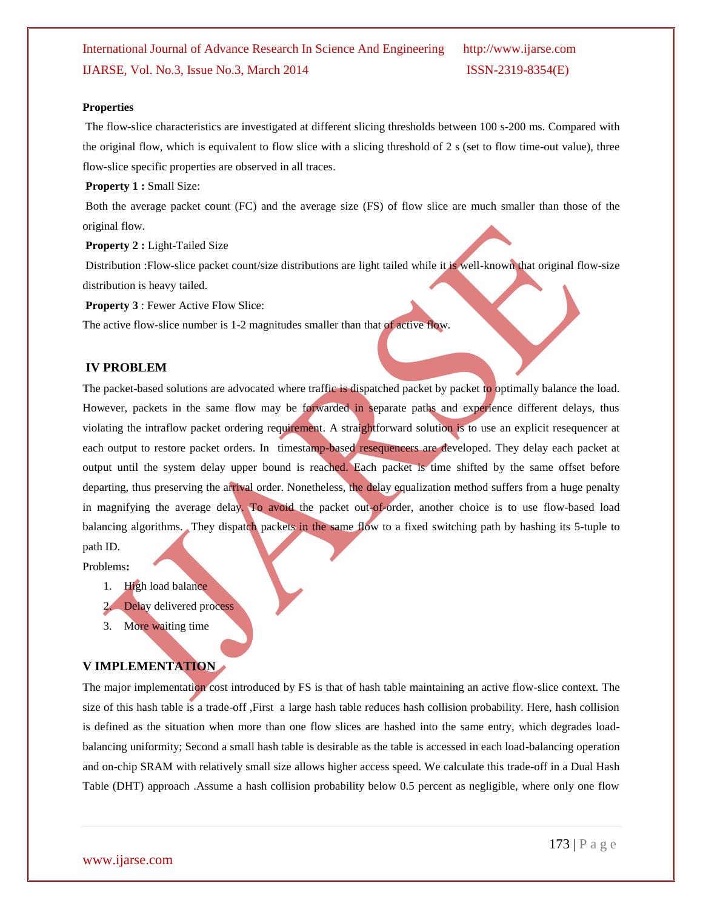### **Properties**

The flow-slice characteristics are investigated at different slicing thresholds between 100 s-200 ms. Compared with the original flow, which is equivalent to flow slice with a slicing threshold of 2 s (set to flow time-out value), three flow-slice specific properties are observed in all traces.

**Property 1 :** Small Size:

Both the average packet count (FC) and the average size (FS) of flow slice are much smaller than those of the original flow.

**Property 2 : Light-Tailed Size** 

Distribution :Flow-slice packet count/size distributions are light tailed while it is well-known that original flow-size distribution is heavy tailed.

**Property 3** : Fewer Active Flow Slice:

The active flow-slice number is 1-2 magnitudes smaller than that of active flow.

# **IV PROBLEM**

The packet-based solutions are advocated where traffic is dispatched packet by packet to optimally balance the load. However, packets in the same flow may be forwarded in separate paths and experience different delays, thus violating the intraflow packet ordering requirement. A straightforward solution is to use an explicit resequencer at each output to restore packet orders. In timestamp-based resequencers are developed. They delay each packet at output until the system delay upper bound is reached. Each packet is time shifted by the same offset before departing, thus preserving the arrival order. Nonetheless, the delay equalization method suffers from a huge penalty in magnifying the average delay. To avoid the packet out-of-order, another choice is to use flow-based load balancing algorithms. They dispatch packets in the same flow to a fixed switching path by hashing its 5-tuple to path ID.

Problems**:**

- 1. High load balance
- 2. Delay delivered process
- 3. More waiting time

# **V IMPLEMENTATION**

The major implementation cost introduced by FS is that of hash table maintaining an active flow-slice context. The size of this hash table is a trade-off ,First a large hash table reduces hash collision probability. Here, hash collision is defined as the situation when more than one flow slices are hashed into the same entry, which degrades loadbalancing uniformity; Second a small hash table is desirable as the table is accessed in each load-balancing operation and on-chip SRAM with relatively small size allows higher access speed. We calculate this trade-off in a Dual Hash Table (DHT) approach .Assume a hash collision probability below 0.5 percent as negligible, where only one flow